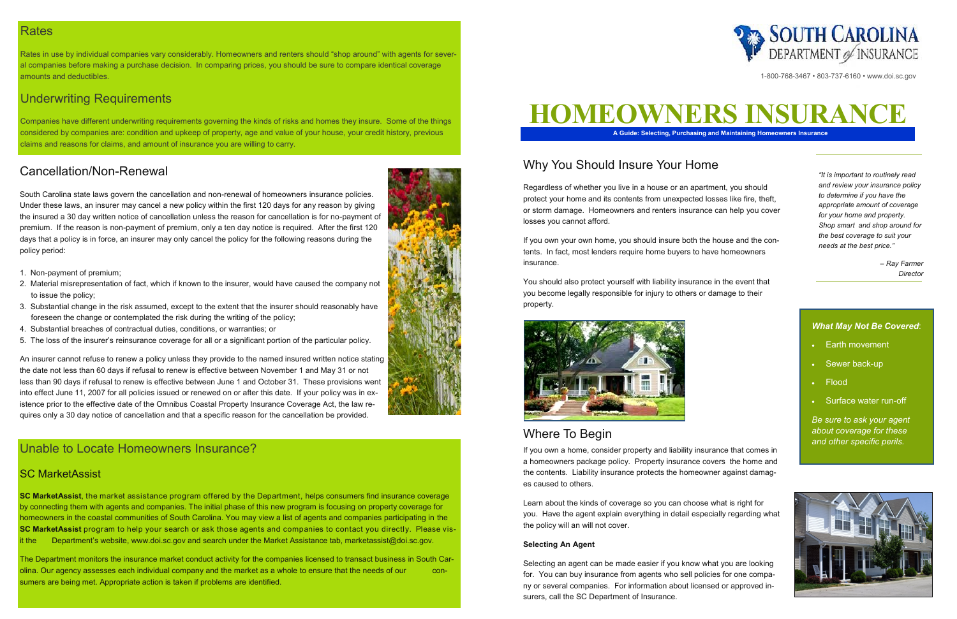## **Rates**

Rates in use by individual companies vary considerably. Homeowners and renters should "shop around" with agents for several companies before making a purchase decision. In comparing prices, you should be sure to compare identical coverage amounts and deductibles.

# Underwriting Requirements

Companies have different underwriting requirements governing the kinds of risks and homes they insure. Some of the things considered by companies are: condition and upkeep of property, age and value of your house, your credit history, previous claims and reasons for claims, and amount of insurance you are willing to carry.

# Unable to Locate Homeowners Insurance?

## SC MarketAssist

**SC MarketAssist**, the market assistance program offered by the Department, helps consumers find insurance coverage by connecting them with agents and companies. The initial phase of this new program is focusing on property coverage for homeowners in the coastal communities of South Carolina. You may view a list of agents and companies participating in the **SC MarketAssist** program to help your search or ask those agents and companies to contact you directly. Please visit the Department's website, www.doi.sc.gov and search under the Market Assistance tab, marketassist@doi.sc.gov.

The Department monitors the insurance market conduct activity for the companies licensed to transact business in South Carolina. Our agency assesses each individual company and the market as a whole to ensure that the needs of our consumers are being met. Appropriate action is taken if problems are identified.



# Cancellation/Non-Renewal

South Carolina state laws govern the cancellation and non-renewal of homeowners insurance policies. Under these laws, an insurer may cancel a new policy within the first 120 days for any reason by giving the insured a 30 day written notice of cancellation unless the reason for cancellation is for no-payment of premium. If the reason is non-payment of premium, only a ten day notice is required. After the first 120 days that a policy is in force, an insurer may only cancel the policy for the following reasons during the policy period:

- 1. Non-payment of premium;
- 2. Material misrepresentation of fact, which if known to the insurer, would have caused the company not to issue the policy;
- 3. Substantial change in the risk assumed, except to the extent that the insurer should reasonably have foreseen the change or contemplated the risk during the writing of the policy;
- 4. Substantial breaches of contractual duties, conditions, or warranties; or
- 5. The loss of the insurer's reinsurance coverage for all or a significant portion of the particular policy.

An insurer cannot refuse to renew a policy unless they provide to the named insured written notice stating the date not less than 60 days if refusal to renew is effective between November 1 and May 31 or not less than 90 days if refusal to renew is effective between June 1 and October 31. These provisions went into effect June 11, 2007 for all policies issued or renewed on or after this date. If your policy was in existence prior to the effective date of the Omnibus Coastal Property Insurance Coverage Act, the law requires only a 30 day notice of cancellation and that a specific reason for the cancellation be provided.

#### *What May Not Be Covered*:

- Earth movement
- Sewer back-up
- Flood
- Surface water run-off

*Be sure to ask your agent about coverage for these and other specific perils.*





# Why You Should Insure Your Home

Regardless of whether you live in a house or an apartment, you should protect your home and its contents from unexpected losses like fire, theft, or storm damage. Homeowners and renters insurance can help you cover losses you cannot afford.

If you own your own home, you should insure both the house and the contents. In fact, most lenders require home buyers to have homeowners insurance.

You should also protect yourself with liability insurance in the event that you become legally responsible for injury to others or damage to their property.





# Where To Begin

If you own a home, consider property and liability insurance that comes in a homeowners package policy. Property insurance covers the home and the contents. Liability insurance protects the homeowner against damages caused to others.

Learn about the kinds of coverage so you can choose what is right for you. Have the agent explain everything in detail especially regarding what the policy will an will not cover.

#### **Selecting An Agent**

Selecting an agent can be made easier if you know what you are looking for. You can buy insurance from agents who sell policies for one company or several companies. For information about licensed or approved insurers, call the SC Department of Insurance.



*"It is important to routinely read and review your insurance policy to determine if you have the appropriate amount of coverage for your home and property. Shop smart and shop around for the best coverage to suit your needs at the best price."*

> *– Ray Farmer Director*

1-800-768-3467 • 803-737-6160 • www.doi.sc.gov